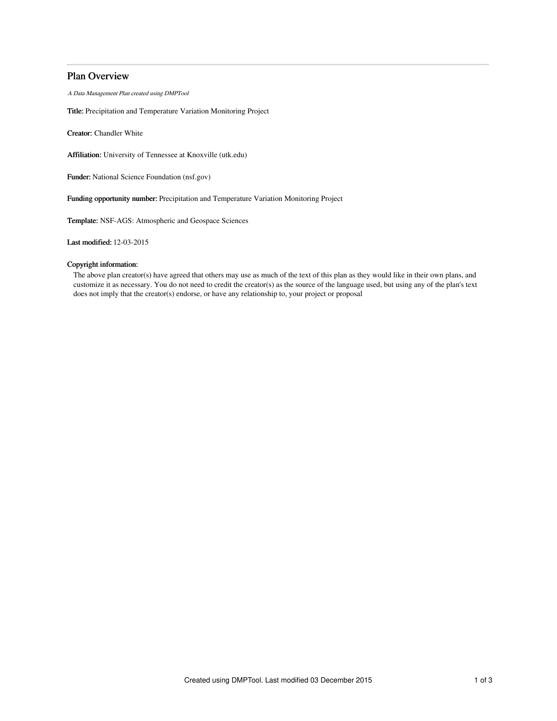# Plan Overview

A Data Management Plan created using DMPTool

Title: Precipitation and Temperature Variation Monitoring Project

Creator: Chandler White

Affiliation: University of Tennessee at Knoxville (utk.edu)

Funder: National Science Foundation (nsf.gov)

Funding opportunity number: Precipitation and Temperature Variation Monitoring Project

Template: NSF-AGS: Atmospheric and Geospace Sciences

Last modified: 12-03-2015

## Copyright information:

The above plan creator(s) have agreed that others may use as much of the text of this plan as they would like in their own plans, and customize it as necessary. You do not need to credit the creator(s) as the source of the language used, but using any of the plan's text does not imply that the creator(s) endorse, or have any relationship to, your project or proposal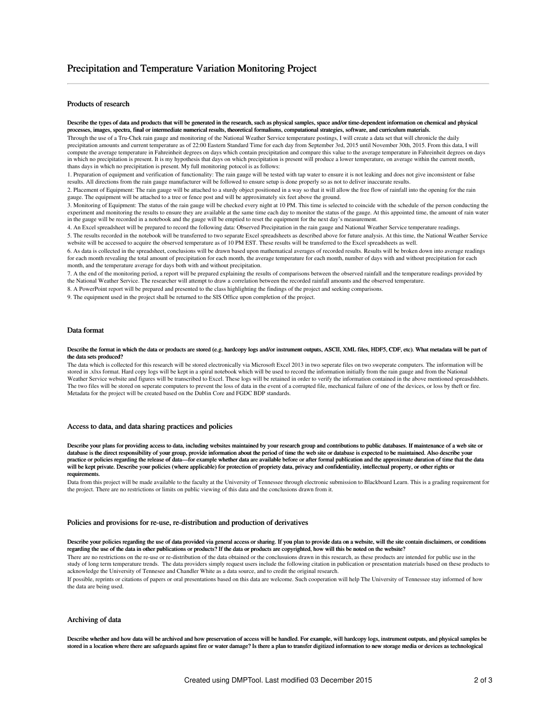### Products of research

Describe the types of data and products that will be generated in the research, such as physical samples, space and/or time-dependent information on chemical and physical processes, images, spectra, final or intermediate numerical results, theoretical formalisms, computational strategies, software, and curriculum materials.

Through the use of a Tru-Chek rain gauge and monitoring of the National Weather Service temperature postings, I will create a data set that will chronicle the daily precipitation amounts and current temperature as of 22:00 Eastern Standard Time for each day from September 3rd, 2015 until November 30th, 2015. From this data, I will compute the average temperature in Fahreinheit degrees on days which contain precipitation and compare this value to the average temperature in Fahreinheit degrees on days in which no precipitation is present. It is my hypothesis that days on which precipitation is present will produce a lower temperature, on average within the current month, thans days in which no precipitation is present. My full monitoring potocol is as follows:

1. Preparation of equipment and verification of functionality: The rain gauge will be tested with tap water to ensure it is not leaking and does not give inconsistent or false results. All directions from the rain gauge manufacturer will be followed to ensure setup is done properly so as not to deliver inaccurate results.

2. Placement of Equipment: The rain gauge will be attached to a sturdy object positioned in a way so that it will allow the free flow of rainfall into the opening for the rain gauge. The equipment will be attached to a tree or fence post and will be approximately six feet above the ground.

3. Monitoring of Equipment: The status of the rain gauge will be checked every night at 10 PM. This time is selected to coincide with the schedule of the person conducting the experiment and monitoring the results to ensure they are available at the same time each day to monitor the status of the gauge. At this appointed time, the amount of rain water in the gauge will be recorded in a notebook and the gauge will be emptied to reset the equipment for the next day's measurement.

4. An Excel spreadsheet will be prepared to record the following data: Observed Precipitation in the rain gauge and National Weather Service temperature readings.

5. The results recorded in the notebook will be transferred to two separate Excel spreadsheets as described above for future analysis. At this time, the National Weather Service website will be accessed to acquire the observed temperature as of 10 PM EST. These results will be transferred to the Excel spreadsheets as well.

6. As data is collected in the spreadsheet, conclusions will be drawn based upon mathematical averages of recorded results. Results will be broken down into average readings for each month revealing the total amount of precipitation for each month, the average temperature for each month, number of days with and without precipitation for each month, and the temperature average for days both with and without precipitation.

7. A the end of the monitoring period, a report will be prepared explaining the results of comparisons between the observed rainfall and the temperature readings provided by the National Weather Service. The researcher will attempt to draw a correlation between the recorded rainfall amounts and the observed temperature.

8. A PowerPoint report will be prepared and presented to the class highlighting the findings of the project and seeking comparisons.

9. The equipment used in the project shall be returned to the SIS Office upon completion of the project.

### Data format

#### Describe the format in which the data or products are stored (e.g. hardcopy logs and/or instrument outputs, ASCII, XML files, HDF5, CDF, etc). What metadata will be part of the data sets produced?

The data which is collected for this research will be stored electronically via Microsoft Excel 2013 in two seperate files on two sweperate computers. The information will be stored in .xlxs format. Hard copy logs will be kept in a spiral notebook which will be used to record the information initially from the rain gauge and from the National Weather Service website and figures will be transcribed to Excel. These logs will be retained in order to verify the information contained in the above mentioned spreasdshhets. The two files will be stored on seperate computers to prevent the loss of data in the event of a corrupted file, mechanical failure of one of the devices, or loss by theft or fire. Metadata for the project will be created based on the Dublin Core and FGDC BDP standards.

### Access to data, and data sharing practices and policies

Describe your plans for providing access to data, including websites maintained by your research group and contributions to public databases. If maintenance of a web site or database is the direct responsibility of your group, provide information about the period of time the web site or database is expected to be maintained. Also describe your practice or policies regarding the release of data—for example whether data are available before or after formal publication and the approximate duration of time that the data practice or policies regarding the release of will be kept private. Describe your policies (where applicable) for protection of propriety data, privacy and confidentiality, intellectual property, or other rights or requirements.

Data from this project will be made available to the faculty at the University of Tennessee through electronic submission to Blackboard Learn. This is a grading requirement for the project. There are no restrictions or limits on public viewing of this data and the conclusions drawn from it.

#### Policies and provisions for re-use, re-distribution and production of derivatives

#### Describe your policies regarding the use of data provided via general access or sharing. If you plan to provide data on a website, will the site contain disclaimers, or conditions regarding the use of the data in other publications or products? If the data or products are copyrighted, how will this be noted on the website?

There are no restrictions on the re-use or re-distribution of the data obtained or the conclusuions drawn in this research, as these products are intended for public use in the study of long term temperature trends. The data providers simply request users include the following citation in publication or presentation materials based on these products to acknowledge the University of Tennesee and Chandler White as a data source, and to credit the original research.

If possible, reprints or citations of papers or oral presentations based on this data are welcome. Such cooperation will help The University of Tennessee stay informed of how the data are being used.

## Archiving of data

Describe whether and how data will be archived and how preservation of access will be handled. For example, will hardcopy logs, instrument outputs, and physical samples be stored in a location where there are safeguards against fire or water damage? Is there a plan to transfer digitized information to new storage media or devices as technological